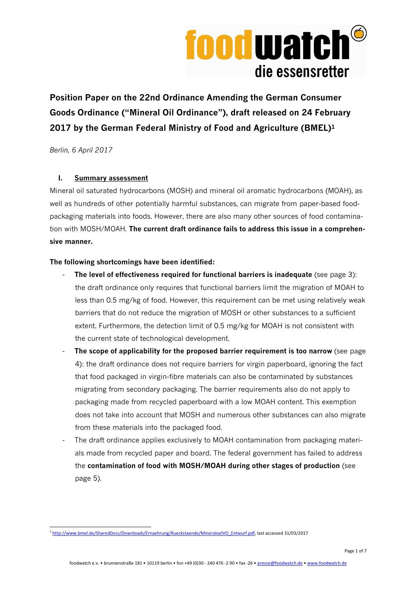

**Position Paper on the 22nd Ordinance Amending the German Consumer Goods Ordinance ("Mineral Oil Ordinance"), draft released on 24 February 2017 by the German Federal Ministry of Food and Agriculture (BMEL)<sup>1</sup>**

*Berlin, 6 April 2017* 

# **I. Summary assessment**

Mineral oil saturated hydrocarbons (MOSH) and mineral oil aromatic hydrocarbons (MOAH), as well as hundreds of other potentially harmful substances, can migrate from paper-based foodpackaging materials into foods. However, there are also many other sources of food contamination with MOSH/MOAH. **The current draft ordinance fails to address this issue in a comprehensive manner.**

# **The following shortcomings have been identified:**

- **The level of effectiveness required for functional barriers is inadequate** (see page 3): the draft ordinance only requires that functional barriers limit the migration of MOAH to less than 0.5 mg/kg of food. However, this requirement can be met using relatively weak barriers that do not reduce the migration of MOSH or other substances to a sufficient extent. Furthermore, the detection limit of 0.5 mg/kg for MOAH is not consistent with the current state of technological development.
- The scope of applicability for the proposed barrier requirement is too narrow (see page 4): the draft ordinance does not require barriers for virgin paperboard, ignoring the fact that food packaged in virgin-fibre materials can also be contaminated by substances migrating from secondary packaging. The barrier requirements also do not apply to packaging made from recycled paperboard with a low MOAH content. This exemption does not take into account that MOSH and numerous other substances can also migrate from these materials into the packaged food.
- The draft ordinance applies exclusively to MOAH contamination from packaging materials made from recycled paper and board. The federal government has failed to address the **contamination of food with MOSH/MOAH during other stages of production** (see page 5).

 <sup>1</sup> http://www.bmel.de/SharedDocs/Downloads/Ernaehrung/Rueckstaende/MineraloelVO\_Entwurf.pdf, last accessed 31/03/2017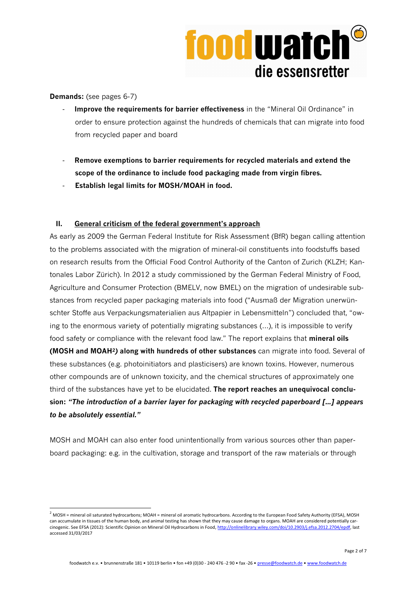

**Demands:** (see pages 6-7)

 $\overline{a}$ 

- **Improve the requirements for barrier effectiveness** in the "Mineral Oil Ordinance" in order to ensure protection against the hundreds of chemicals that can migrate into food from recycled paper and board
- **Remove exemptions to barrier requirements for recycled materials and extend the scope of the ordinance to include food packaging made from virgin fibres.**
- - **Establish legal limits for MOSH/MOAH in food.**

### **II. General criticism of the federal government's approach**

As early as 2009 the German Federal Institute for Risk Assessment (BfR) began calling attention to the problems associated with the migration of mineral-oil constituents into foodstuffs based on research results from the Official Food Control Authority of the Canton of Zurich (KLZH; Kantonales Labor Zürich). In 2012 a study commissioned by the German Federal Ministry of Food, Agriculture and Consumer Protection (BMELV, now BMEL) on the migration of undesirable substances from recycled paper packaging materials into food ("Ausmaß der Migration unerwünschter Stoffe aus Verpackungsmaterialien aus Altpapier in Lebensmitteln") concluded that, "owing to the enormous variety of potentially migrating substances (…), it is impossible to verify food safety or compliance with the relevant food law." The report explains that **mineral oils (MOSH and MOAH2***)* **along with hundreds of other substances** can migrate into food. Several of these substances (e.g. photoinitiators and plasticisers) are known toxins. However, numerous other compounds are of unknown toxicity, and the chemical structures of approximately one third of the substances have yet to be elucidated. **The report reaches an unequivocal conclusion:** *"The introduction of a barrier layer for packaging with recycled paperboard […] appears to be absolutely essential."*

MOSH and MOAH can also enter food unintentionally from various sources other than paperboard packaging: e.g. in the cultivation, storage and transport of the raw materials or through

 $^2$  MOSH = mineral oil saturated hydrocarbons; MOAH = mineral oil aromatic hydrocarbons. According to the European Food Safety Authority (EFSA), MOSH can accumulate in tissues of the human body, and animal testing has shown that they may cause damage to organs. MOAH are considered potentially carcinogenic. See EFSA (2012): Scientific Opinion on Mineral Oil Hydrocarbons in Food, http://onlinelibrary.wiley.com/doi/10.2903/j.efsa.2012.2704/epdf, last accessed 31/03/2017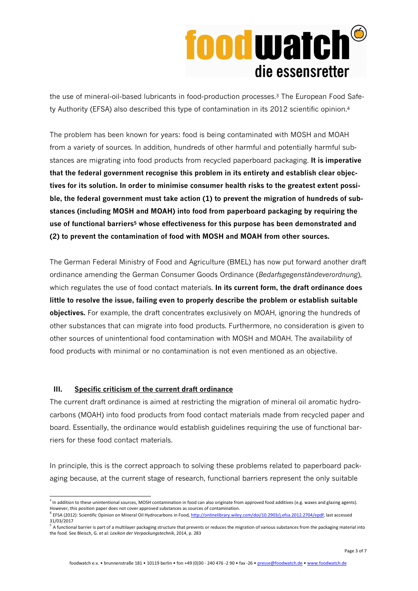# **foodwatch** die essensretter

the use of mineral-oil-based lubricants in food-production processes.3 The European Food Safety Authority (EFSA) also described this type of contamination in its 2012 scientific opinion.<sup>4</sup>

The problem has been known for years: food is being contaminated with MOSH and MOAH from a variety of sources. In addition, hundreds of other harmful and potentially harmful substances are migrating into food products from recycled paperboard packaging. **It is imperative that the federal government recognise this problem in its entirety and establish clear objectives for its solution. In order to minimise consumer health risks to the greatest extent possible, the federal government must take action (1) to prevent the migration of hundreds of substances (including MOSH and MOAH) into food from paperboard packaging by requiring the use of functional barriers5 whose effectiveness for this purpose has been demonstrated and (2) to prevent the contamination of food with MOSH and MOAH from other sources.** 

The German Federal Ministry of Food and Agriculture (BMEL) has now put forward another draft ordinance amending the German Consumer Goods Ordinance (*Bedarfsgegenständeverordnung*), which regulates the use of food contact materials. **In its current form, the draft ordinance does little to resolve the issue, failing even to properly describe the problem or establish suitable objectives.** For example, the draft concentrates exclusively on MOAH, ignoring the hundreds of other substances that can migrate into food products. Furthermore, no consideration is given to other sources of unintentional food contamination with MOSH and MOAH. The availability of food products with minimal or no contamination is not even mentioned as an objective.

### **III. Specific criticism of the current draft ordinance**

1

The current draft ordinance is aimed at restricting the migration of mineral oil aromatic hydrocarbons (MOAH) into food products from food contact materials made from recycled paper and board. Essentially, the ordinance would establish guidelines requiring the use of functional barriers for these food contact materials.

In principle, this is the correct approach to solving these problems related to paperboard packaging because, at the current stage of research, functional barriers represent the only suitable

<sup>&</sup>lt;sup>3</sup> In addition to these unintentional sources, MOSH contamination in food can also originate from approved food additives (e.g. waxes and glazing agents). However, this position paper does not cover approved substances as sources of contamination.

<sup>&</sup>lt;sup>4</sup> EFSA (2012): Scientific Opinion on Mineral Oil Hydrocarbons in Food, http://onlinelibrary.wiley.com/doi/10.2903/j.efsa.2012.2704/epdf, last accessed 31/03/2017

<sup>&</sup>lt;sup>5</sup> A functional barrier is part of a multilayer packaging structure that prevents or reduces the migration of various substances from the packaging material into the food. See Bleisch, G. et al: *Lexikon der Verpackungstechnik*, 2014, p. 283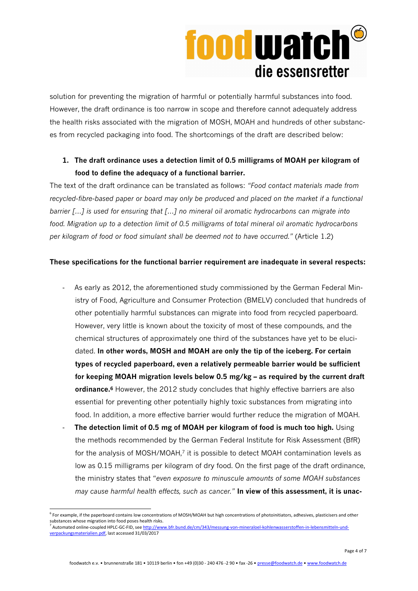# **food watch®** die essensretter

solution for preventing the migration of harmful or potentially harmful substances into food. However, the draft ordinance is too narrow in scope and therefore cannot adequately address the health risks associated with the migration of MOSH, MOAH and hundreds of other substances from recycled packaging into food. The shortcomings of the draft are described below:

# **1. The draft ordinance uses a detection limit of 0.5 milligrams of MOAH per kilogram of food to define the adequacy of a functional barrier.**

The text of the draft ordinance can be translated as follows: *"Food contact materials made from recycled-fibre-based paper or board may only be produced and placed on the market if a functional barrier […] is used for ensuring that […] no mineral oil aromatic hydrocarbons can migrate into food. Migration up to a detection limit of 0.5 milligrams of total mineral oil aromatic hydrocarbons per kilogram of food or food simulant shall be deemed not to have occurred."* (Article 1.2)

# **These specifications for the functional barrier requirement are inadequate in several respects:**

- As early as 2012, the aforementioned study commissioned by the German Federal Ministry of Food, Agriculture and Consumer Protection (BMELV) concluded that hundreds of other potentially harmful substances can migrate into food from recycled paperboard. However, very little is known about the toxicity of most of these compounds, and the chemical structures of approximately one third of the substances have yet to be elucidated. **In other words, MOSH and MOAH are only the tip of the iceberg. For certain types of recycled paperboard, even a relatively permeable barrier would be sufficient for keeping MOAH migration levels below 0.5 mg/kg – as required by the current draft ordinance.<sup>6</sup>** However, the 2012 study concludes that highly effective barriers are also essential for preventing other potentially highly toxic substances from migrating into food. In addition, a more effective barrier would further reduce the migration of MOAH.
- **The detection limit of 0.5 mg of MOAH per kilogram of food is much too high.** Using the methods recommended by the German Federal Institute for Risk Assessment (BfR) for the analysis of MOSH/MOAH,<sup>7</sup> it is possible to detect MOAH contamination levels as low as 0.15 milligrams per kilogram of dry food. On the first page of the draft ordinance, the ministry states that "*even exposure to minuscule amounts of some MOAH substances may cause harmful health effects, such as cancer."* **In view of this assessment, it is unac-**

 $\overline{a}$ <sup>6</sup> For example, if the paperboard contains low concentrations of MOSH/MOAH but high concentrations of photoinitiators, adhesives, plasticisers and other substances whose migration into food poses health risks.

<sup>&</sup>lt;sup>7</sup> Automated online-coupled HPLC-GC-FID, see http://www.bfr.bund.de/cm/343/messung-von-mineraloel-kohlenwasserstoffen-in-lebensmitteln-undverpackungsmaterialien.pdf, last accessed 31/03/2017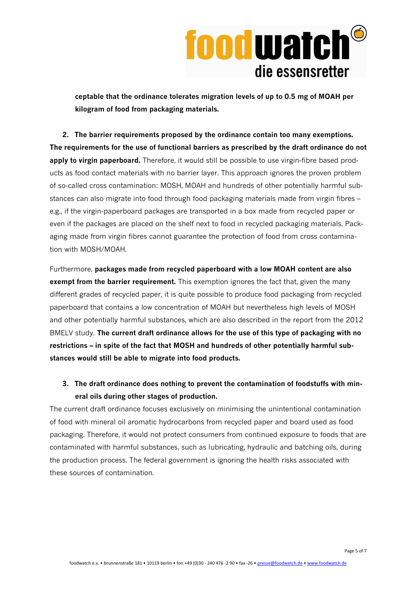

**ceptable that the ordinance tolerates migration levels of up to 0.5 mg of MOAH per kilogram of food from packaging materials.**

**2. The barrier requirements proposed by the ordinance contain too many exemptions. The requirements for the use of functional barriers as prescribed by the draft ordinance do not**  apply to virgin paperboard. Therefore, it would still be possible to use virgin-fibre based products as food contact materials with no barrier layer. This approach ignores the proven problem of so-called cross contamination: MOSH, MOAH and hundreds of other potentially harmful substances can also migrate into food through food packaging materials made from virgin fibres – e.g., if the virgin-paperboard packages are transported in a box made from recycled paper or even if the packages are placed on the shelf next to food in recycled packaging materials. Packaging made from virgin fibres cannot guarantee the protection of food from cross contamination with MOSH/MOAH.

Furthermore, **packages made from recycled paperboard with a low MOAH content are also exempt from the barrier requirement.** This exemption ignores the fact that, given the many different grades of recycled paper, it is quite possible to produce food packaging from recycled paperboard that contains a low concentration of MOAH but nevertheless high levels of MOSH and other potentially harmful substances, which are also described in the report from the 2012 BMELV study. **The current draft ordinance allows for the use of this type of packaging with no restrictions – in spite of the fact that MOSH and hundreds of other potentially harmful substances would still be able to migrate into food products.**

**3. The draft ordinance does nothing to prevent the contamination of foodstuffs with mineral oils during other stages of production.** 

The current draft ordinance focuses exclusively on minimising the unintentional contamination of food with mineral oil aromatic hydrocarbons from recycled paper and board used as food packaging. Therefore, it would not protect consumers from continued exposure to foods that are contaminated with harmful substances, such as lubricating, hydraulic and batching oils, during the production process. The federal government is ignoring the health risks associated with these sources of contamination.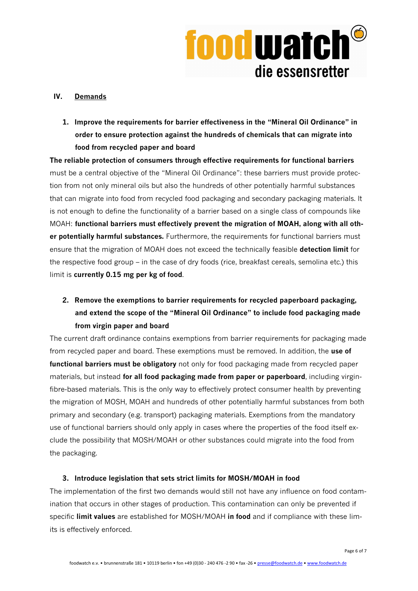

#### **IV. Demands**

**1. Improve the requirements for barrier effectiveness in the "Mineral Oil Ordinance" in order to ensure protection against the hundreds of chemicals that can migrate into food from recycled paper and board** 

**The reliable protection of consumers through effective requirements for functional barriers**  must be a central objective of the "Mineral Oil Ordinance": these barriers must provide protection from not only mineral oils but also the hundreds of other potentially harmful substances that can migrate into food from recycled food packaging and secondary packaging materials. It is not enough to define the functionality of a barrier based on a single class of compounds like MOAH: **functional barriers must effectively prevent the migration of MOAH, along with all other potentially harmful substances.** Furthermore, the requirements for functional barriers must ensure that the migration of MOAH does not exceed the technically feasible **detection limit** for the respective food group – in the case of dry foods (rice, breakfast cereals, semolina etc.) this limit is **currently 0.15 mg per kg of food**.

**2. Remove the exemptions to barrier requirements for recycled paperboard packaging, and extend the scope of the "Mineral Oil Ordinance" to include food packaging made from virgin paper and board** 

The current draft ordinance contains exemptions from barrier requirements for packaging made from recycled paper and board. These exemptions must be removed. In addition, the **use of functional barriers must be obligatory** not only for food packaging made from recycled paper materials, but instead **for all food packaging made from paper or paperboard**, including virginfibre-based materials. This is the only way to effectively protect consumer health by preventing the migration of MOSH, MOAH and hundreds of other potentially harmful substances from both primary and secondary (e.g. transport) packaging materials. Exemptions from the mandatory use of functional barriers should only apply in cases where the properties of the food itself exclude the possibility that MOSH/MOAH or other substances could migrate into the food from the packaging.

### **3. Introduce legislation that sets strict limits for MOSH/MOAH in food**

The implementation of the first two demands would still not have any influence on food contamination that occurs in other stages of production. This contamination can only be prevented if specific **limit values** are established for MOSH/MOAH **in food** and if compliance with these limits is effectively enforced.